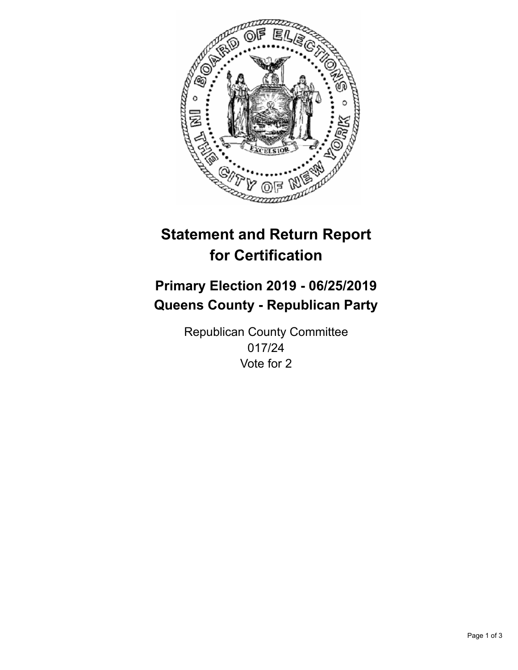

## **Statement and Return Report for Certification**

## **Primary Election 2019 - 06/25/2019 Queens County - Republican Party**

Republican County Committee 017/24 Vote for 2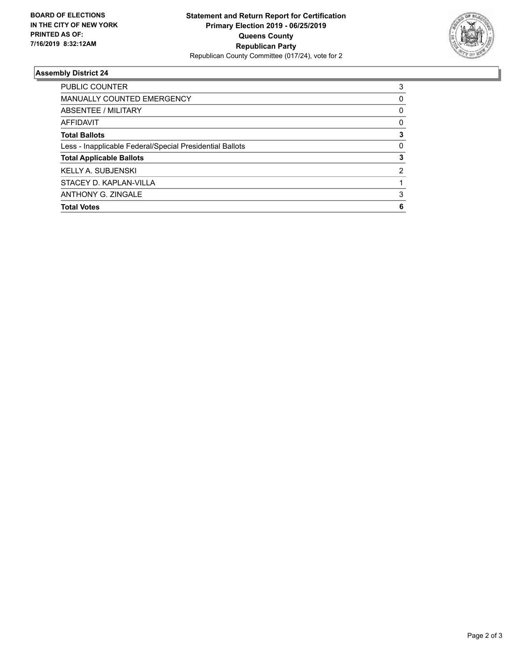

## **Assembly District 24**

| <b>Total Votes</b>                                       | 6        |
|----------------------------------------------------------|----------|
| <b>ANTHONY G. ZINGALE</b>                                | 3        |
| STACEY D. KAPLAN-VILLA                                   |          |
| <b>KELLY A. SUBJENSKI</b>                                | 2        |
| <b>Total Applicable Ballots</b>                          | 3        |
| Less - Inapplicable Federal/Special Presidential Ballots | 0        |
| <b>Total Ballots</b>                                     | 3        |
| <b>AFFIDAVIT</b>                                         | 0        |
| ABSENTEE / MILITARY                                      | 0        |
| <b>MANUALLY COUNTED EMERGENCY</b>                        | $\Omega$ |
| <b>PUBLIC COUNTER</b>                                    | 3        |